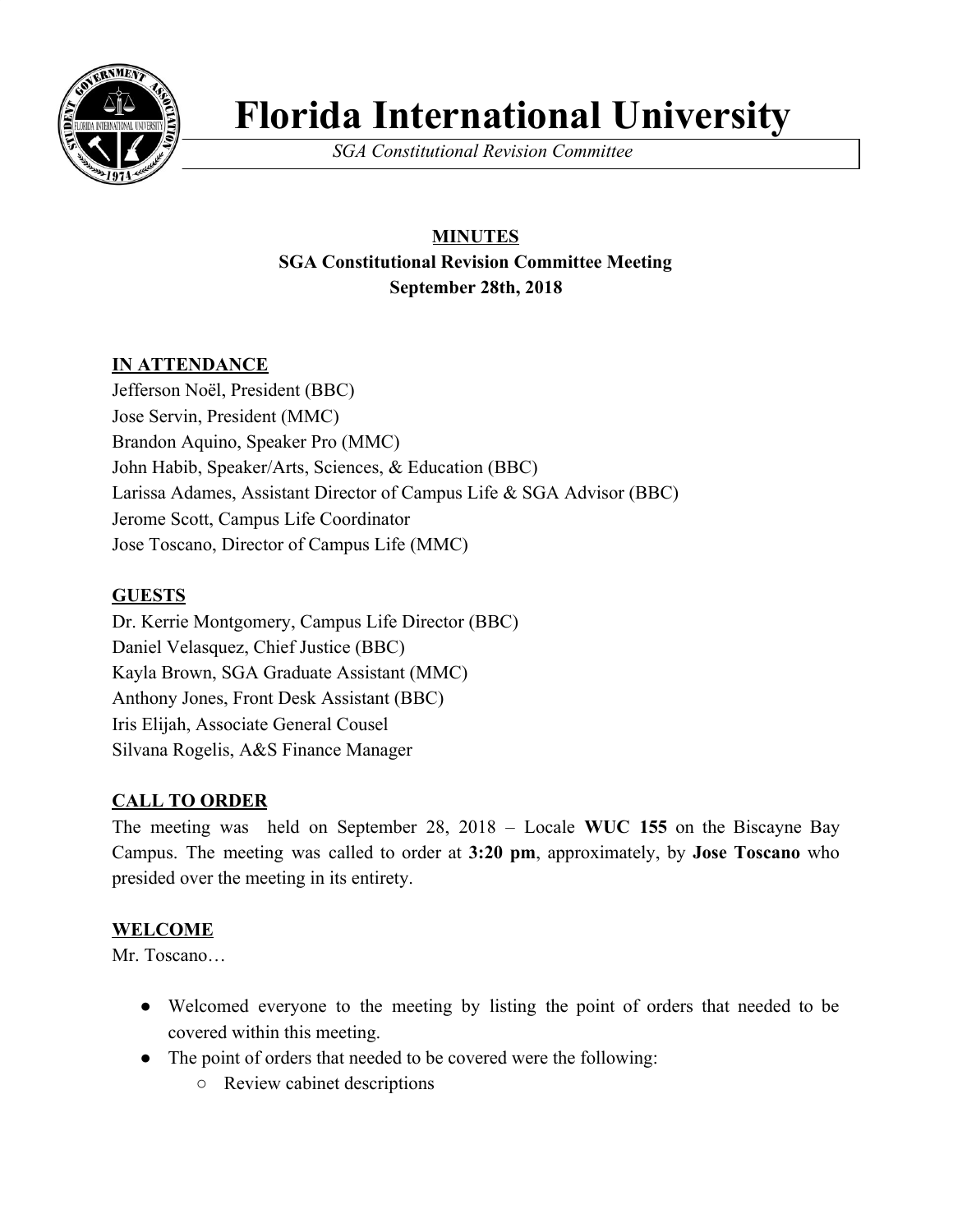

# **Florida International University**

*SGA Constitutional Revision Committee*

# **MINUTES SGA Constitutional Revision Committee Meeting September 28th, 2018**

## **IN ATTENDANCE**

Jefferson Noël, President (BBC) Jose Servin, President (MMC) Brandon Aquino, Speaker Pro (MMC) John Habib, Speaker/Arts, Sciences, & Education (BBC) Larissa Adames, Assistant Director of Campus Life & SGA Advisor (BBC) Jerome Scott, Campus Life Coordinator Jose Toscano, Director of Campus Life (MMC)

## **GUESTS**

Dr. Kerrie Montgomery, Campus Life Director (BBC) Daniel Velasquez, Chief Justice (BBC) Kayla Brown, SGA Graduate Assistant (MMC) Anthony Jones, Front Desk Assistant (BBC) Iris Elijah, Associate General Cousel Silvana Rogelis, A&S Finance Manager

## **CALL TO ORDER**

The meeting was held on September 28, 2018 – Locale **WUC 155** on the Biscayne Bay Campus. The meeting was called to order at **3:20 pm**, approximately, by **Jose Toscano** who presided over the meeting in its entirety.

## **WELCOME**

Mr. Toscano…

- Welcomed everyone to the meeting by listing the point of orders that needed to be covered within this meeting.
- The point of orders that needed to be covered were the following:
	- Review cabinet descriptions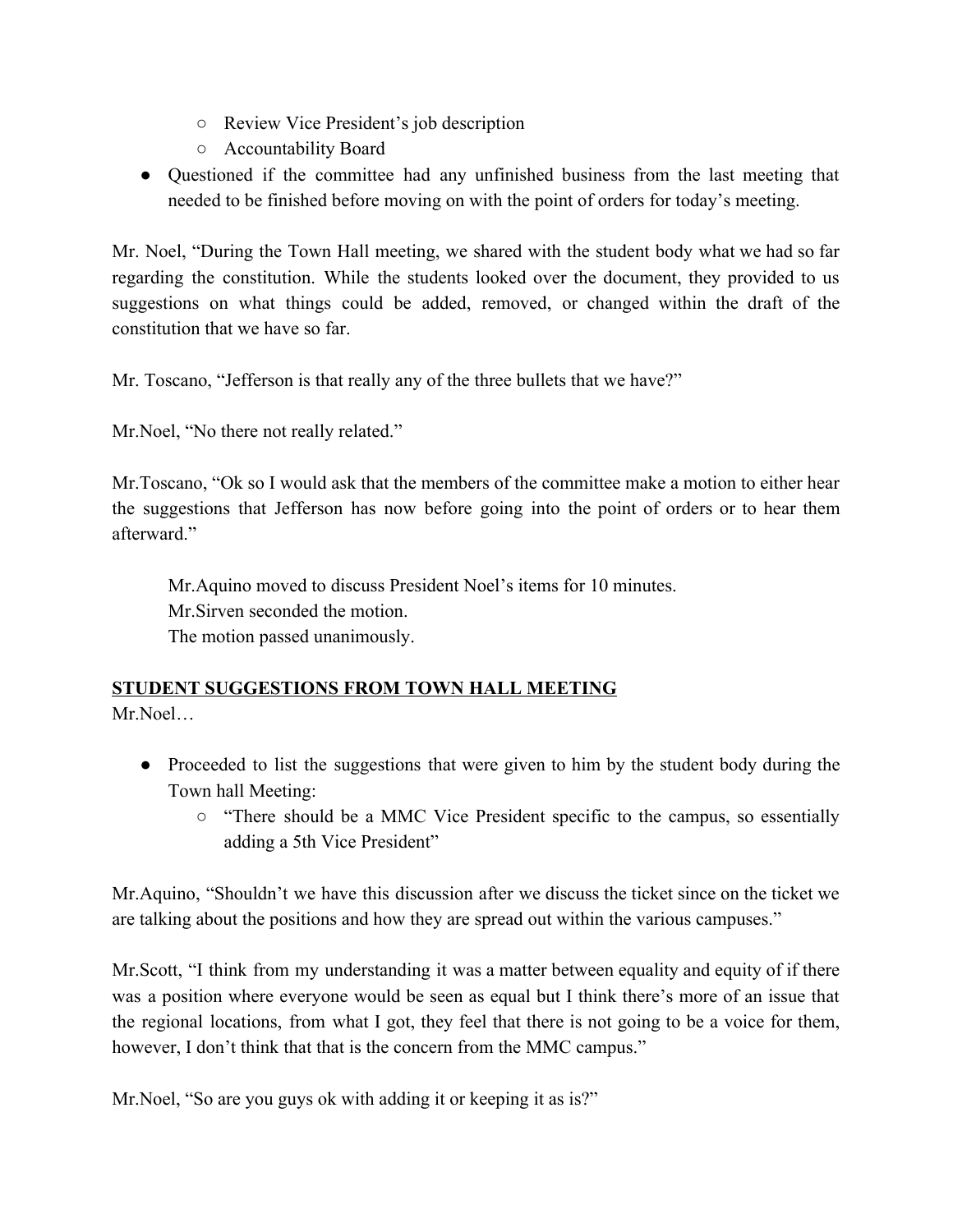- Review Vice President's job description
- Accountability Board
- Questioned if the committee had any unfinished business from the last meeting that needed to be finished before moving on with the point of orders for today's meeting.

Mr. Noel, "During the Town Hall meeting, we shared with the student body what we had so far regarding the constitution. While the students looked over the document, they provided to us suggestions on what things could be added, removed, or changed within the draft of the constitution that we have so far.

Mr. Toscano, "Jefferson is that really any of the three bullets that we have?"

Mr.Noel, "No there not really related."

Mr.Toscano, "Ok so I would ask that the members of the committee make a motion to either hear the suggestions that Jefferson has now before going into the point of orders or to hear them afterward."

Mr.Aquino moved to discuss President Noel's items for 10 minutes. Mr.Sirven seconded the motion. The motion passed unanimously.

## **STUDENT SUGGESTIONS FROM TOWN HALL MEETING**

Mr.Noel…

- Proceeded to list the suggestions that were given to him by the student body during the Town hall Meeting:
	- "There should be a MMC Vice President specific to the campus, so essentially adding a 5th Vice President"

Mr.Aquino, "Shouldn't we have this discussion after we discuss the ticket since on the ticket we are talking about the positions and how they are spread out within the various campuses."

Mr.Scott, "I think from my understanding it was a matter between equality and equity of if there was a position where everyone would be seen as equal but I think there's more of an issue that the regional locations, from what I got, they feel that there is not going to be a voice for them, however, I don't think that that is the concern from the MMC campus."

Mr.Noel, "So are you guys ok with adding it or keeping it as is?"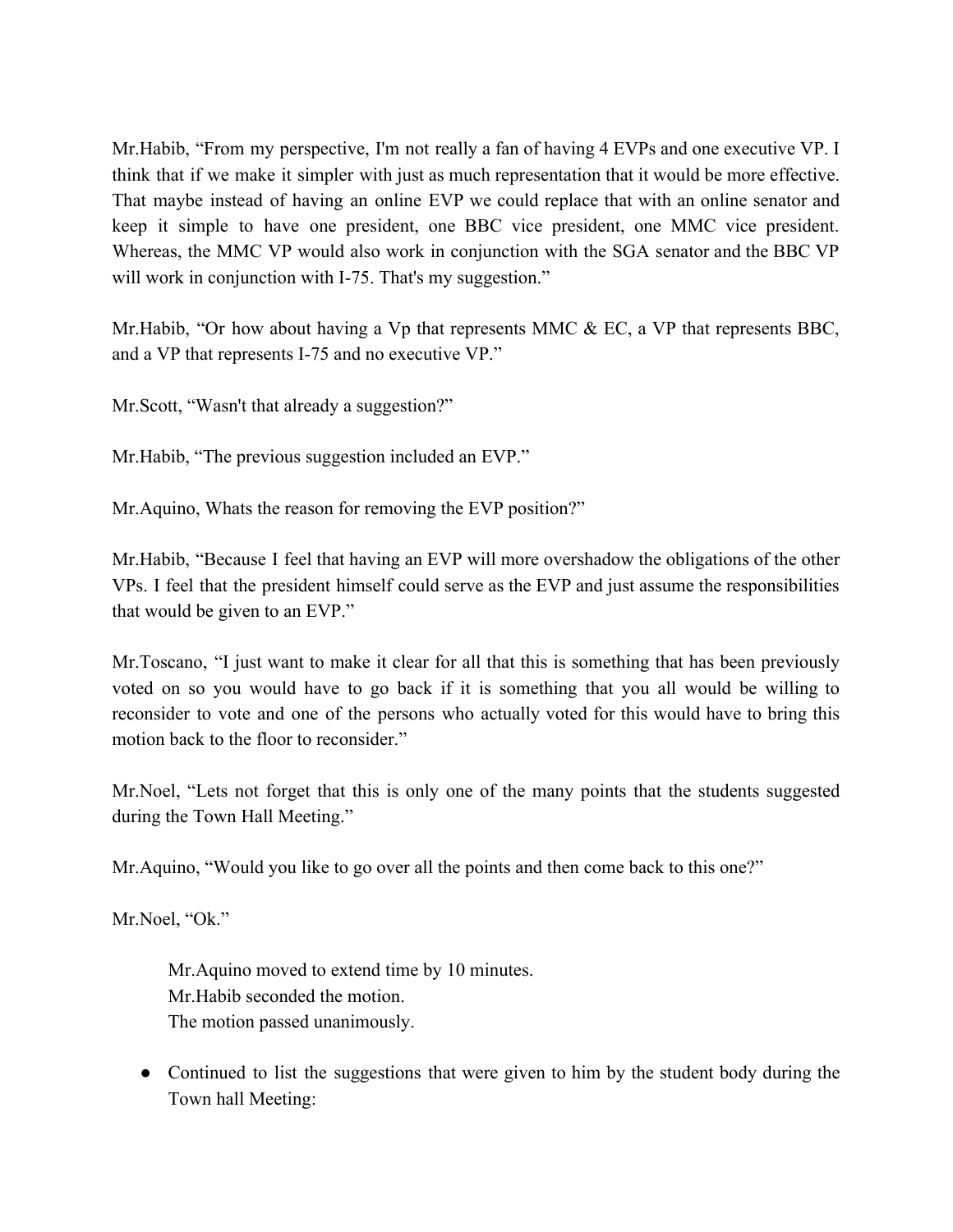Mr.Habib, "From my perspective, I'm not really a fan of having 4 EVPs and one executive VP. I think that if we make it simpler with just as much representation that it would be more effective. That maybe instead of having an online EVP we could replace that with an online senator and keep it simple to have one president, one BBC vice president, one MMC vice president. Whereas, the MMC VP would also work in conjunction with the SGA senator and the BBC VP will work in conjunction with I-75. That's my suggestion."

Mr. Habib, "Or how about having a Vp that represents MMC  $\&$  EC, a VP that represents BBC, and a VP that represents I-75 and no executive VP."

Mr. Scott, "Wasn't that already a suggestion?"

Mr.Habib, "The previous suggestion included an EVP."

Mr.Aquino, Whats the reason for removing the EVP position?"

Mr.Habib, "Because I feel that having an EVP will more overshadow the obligations of the other VPs. I feel that the president himself could serve as the EVP and just assume the responsibilities that would be given to an EVP."

Mr.Toscano, "I just want to make it clear for all that this is something that has been previously voted on so you would have to go back if it is something that you all would be willing to reconsider to vote and one of the persons who actually voted for this would have to bring this motion back to the floor to reconsider."

Mr.Noel, "Lets not forget that this is only one of the many points that the students suggested during the Town Hall Meeting."

Mr.Aquino, "Would you like to go over all the points and then come back to this one?"

Mr.Noel, "Ok."

Mr.Aquino moved to extend time by 10 minutes. Mr.Habib seconded the motion. The motion passed unanimously.

• Continued to list the suggestions that were given to him by the student body during the Town hall Meeting: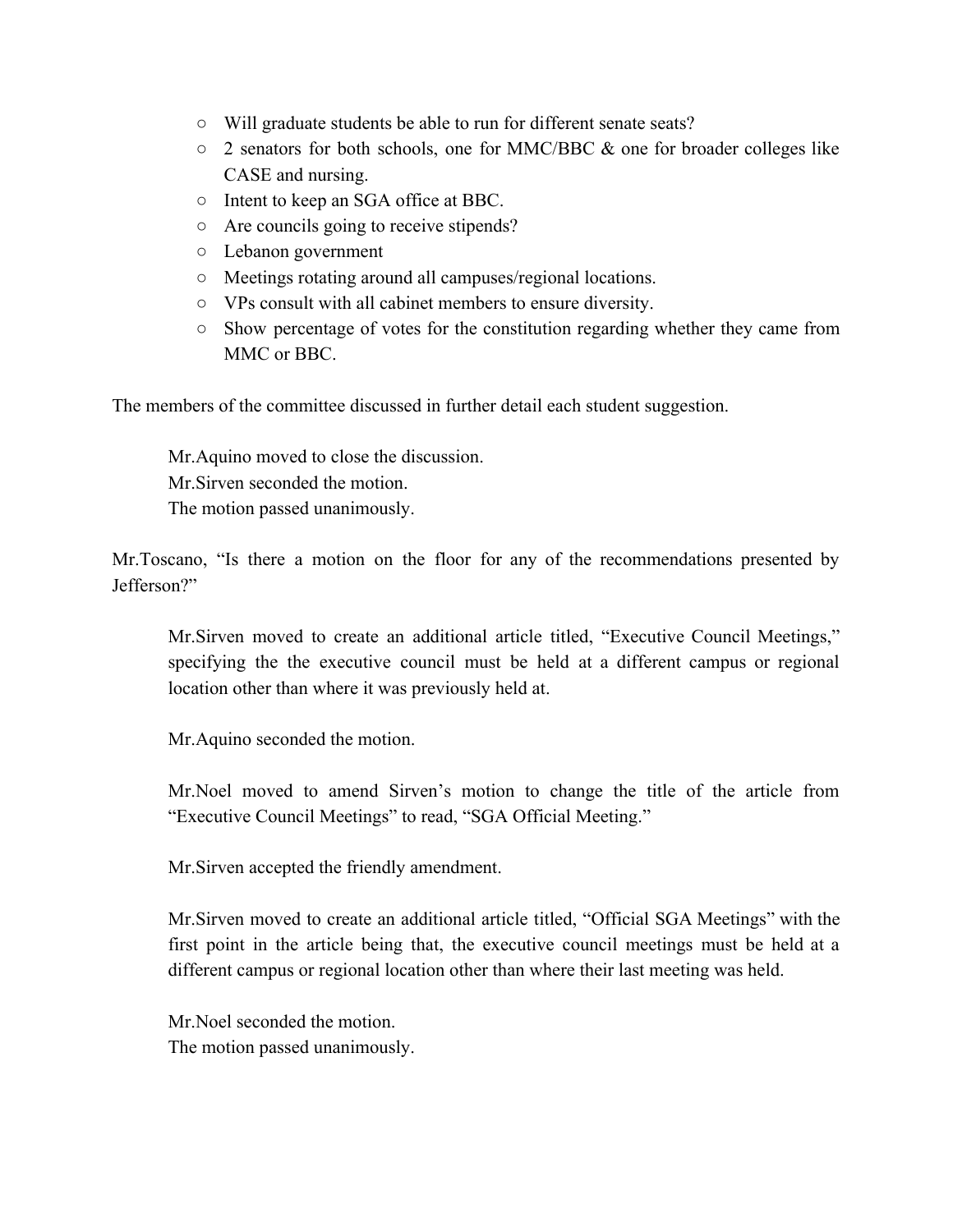- Will graduate students be able to run for different senate seats?
- $\circ$  2 senators for both schools, one for MMC/BBC & one for broader colleges like CASE and nursing.
- Intent to keep an SGA office at BBC.
- Are councils going to receive stipends?
- Lebanon government
- Meetings rotating around all campuses/regional locations.
- VPs consult with all cabinet members to ensure diversity.
- Show percentage of votes for the constitution regarding whether they came from MMC or BBC.

The members of the committee discussed in further detail each student suggestion.

Mr.Aquino moved to close the discussion. Mr.Sirven seconded the motion. The motion passed unanimously.

Mr.Toscano, "Is there a motion on the floor for any of the recommendations presented by Jefferson?"

Mr.Sirven moved to create an additional article titled, "Executive Council Meetings," specifying the the executive council must be held at a different campus or regional location other than where it was previously held at.

Mr.Aquino seconded the motion.

Mr.Noel moved to amend Sirven's motion to change the title of the article from "Executive Council Meetings" to read, "SGA Official Meeting."

Mr.Sirven accepted the friendly amendment.

Mr.Sirven moved to create an additional article titled, "Official SGA Meetings" with the first point in the article being that, the executive council meetings must be held at a different campus or regional location other than where their last meeting was held.

Mr.Noel seconded the motion. The motion passed unanimously.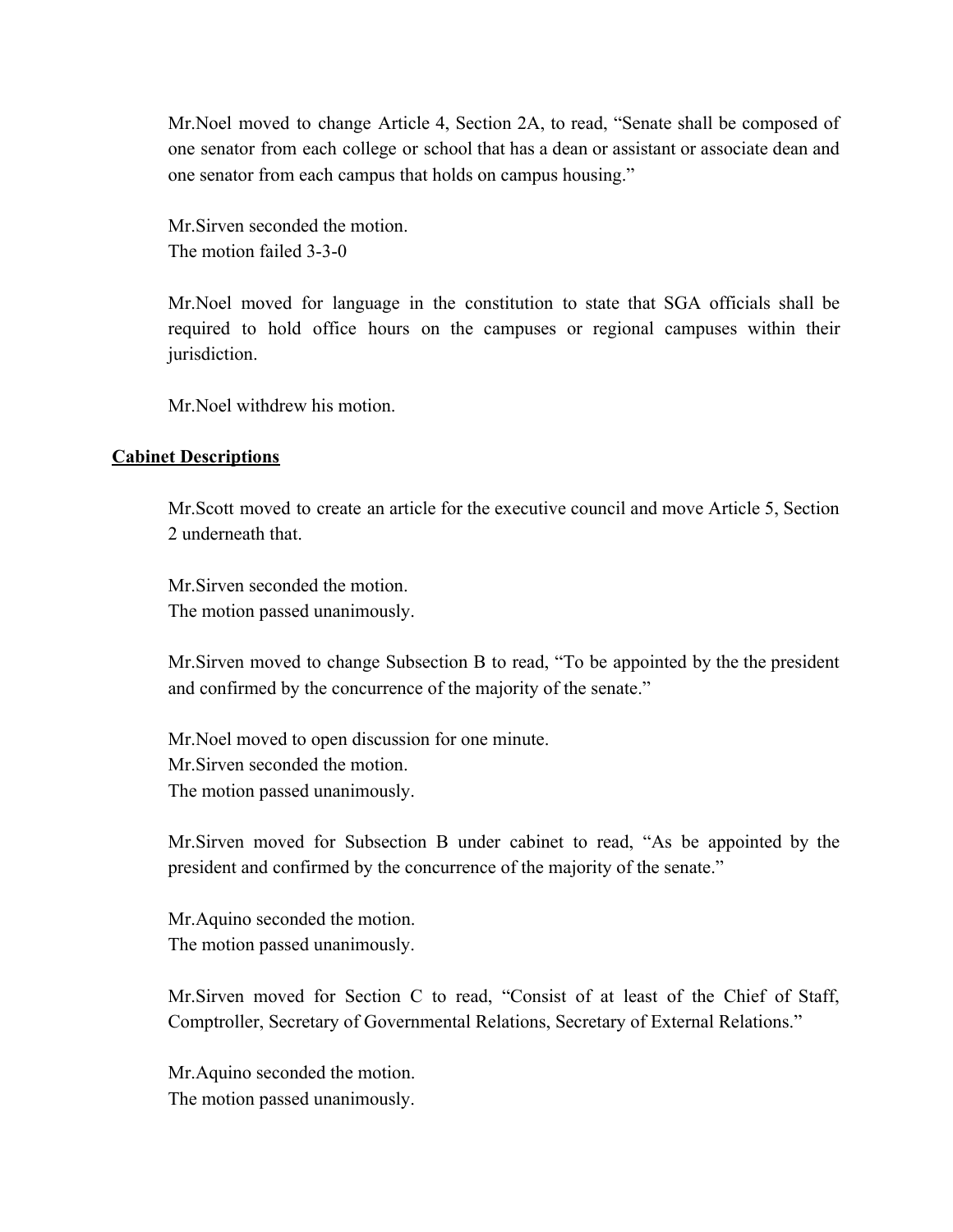Mr.Noel moved to change Article 4, Section 2A, to read, "Senate shall be composed of one senator from each college or school that has a dean or assistant or associate dean and one senator from each campus that holds on campus housing."

Mr.Sirven seconded the motion. The motion failed 3-3-0

Mr.Noel moved for language in the constitution to state that SGA officials shall be required to hold office hours on the campuses or regional campuses within their jurisdiction.

Mr. Noel withdrew his motion.

#### **Cabinet Descriptions**

Mr.Scott moved to create an article for the executive council and move Article 5, Section 2 underneath that.

Mr.Sirven seconded the motion. The motion passed unanimously.

Mr.Sirven moved to change Subsection B to read, "To be appointed by the the president and confirmed by the concurrence of the majority of the senate."

Mr.Noel moved to open discussion for one minute. Mr.Sirven seconded the motion. The motion passed unanimously.

Mr.Sirven moved for Subsection B under cabinet to read, "As be appointed by the president and confirmed by the concurrence of the majority of the senate."

Mr.Aquino seconded the motion. The motion passed unanimously.

Mr.Sirven moved for Section C to read, "Consist of at least of the Chief of Staff, Comptroller, Secretary of Governmental Relations, Secretary of External Relations."

Mr.Aquino seconded the motion. The motion passed unanimously.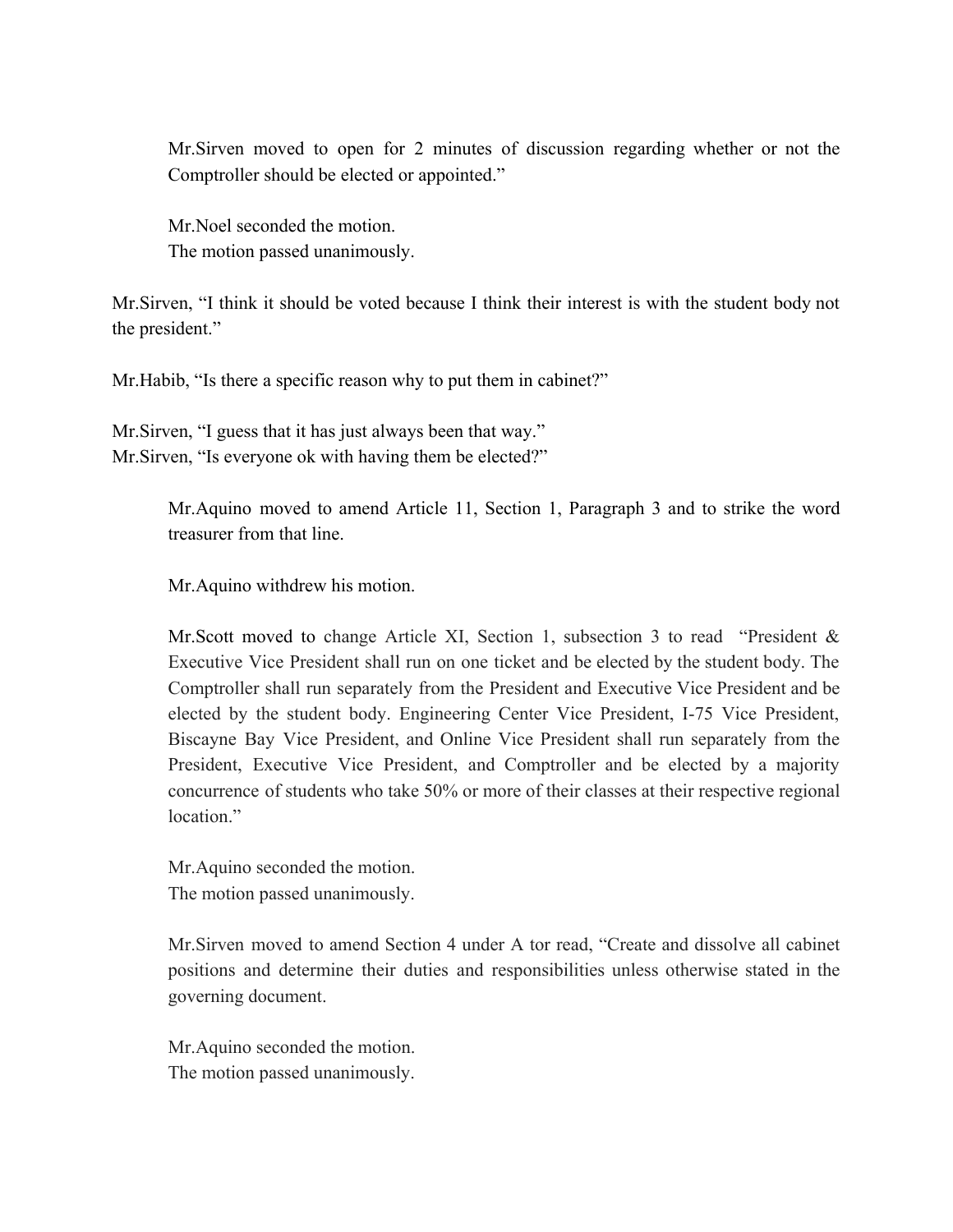Mr.Sirven moved to open for 2 minutes of discussion regarding whether or not the Comptroller should be elected or appointed."

Mr.Noel seconded the motion. The motion passed unanimously.

Mr.Sirven, "I think it should be voted because I think their interest is with the student body not the president."

Mr.Habib, "Is there a specific reason why to put them in cabinet?"

Mr.Sirven, "I guess that it has just always been that way." Mr. Sirven, "Is everyone ok with having them be elected?"

> Mr.Aquino moved to amend Article 11, Section 1, Paragraph 3 and to strike the word treasurer from that line.

Mr.Aquino withdrew his motion.

Mr.Scott moved to change Article XI, Section 1, subsection 3 to read "President & Executive Vice President shall run on one ticket and be elected by the student body. The Comptroller shall run separately from the President and Executive Vice President and be elected by the student body. Engineering Center Vice President, I-75 Vice President, Biscayne Bay Vice President, and Online Vice President shall run separately from the President, Executive Vice President, and Comptroller and be elected by a majority concurrence of students who take 50% or more of their classes at their respective regional location<sup>"</sup>

Mr.Aquino seconded the motion. The motion passed unanimously.

Mr.Sirven moved to amend Section 4 under A tor read, "Create and dissolve all cabinet positions and determine their duties and responsibilities unless otherwise stated in the governing document.

Mr.Aquino seconded the motion. The motion passed unanimously.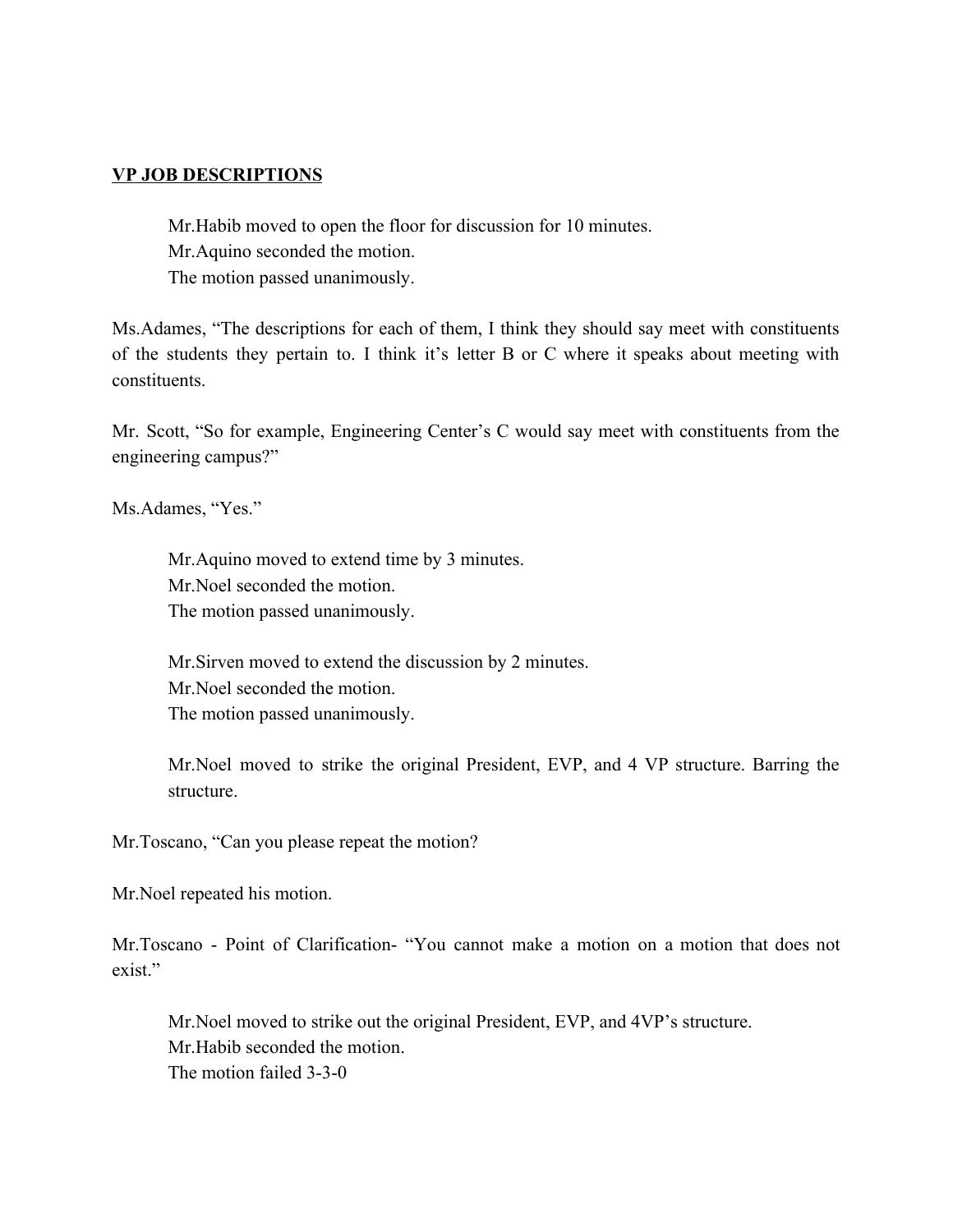#### **VP JOB DESCRIPTIONS**

Mr.Habib moved to open the floor for discussion for 10 minutes. Mr.Aquino seconded the motion. The motion passed unanimously.

Ms.Adames, "The descriptions for each of them, I think they should say meet with constituents of the students they pertain to. I think it's letter B or C where it speaks about meeting with constituents.

Mr. Scott, "So for example, Engineering Center's C would say meet with constituents from the engineering campus?"

Ms.Adames, "Yes."

Mr.Aquino moved to extend time by 3 minutes. Mr.Noel seconded the motion. The motion passed unanimously.

Mr.Sirven moved to extend the discussion by 2 minutes. Mr.Noel seconded the motion. The motion passed unanimously.

Mr.Noel moved to strike the original President, EVP, and 4 VP structure. Barring the structure.

Mr.Toscano, "Can you please repeat the motion?

Mr.Noel repeated his motion.

Mr.Toscano - Point of Clarification- "You cannot make a motion on a motion that does not exist."

Mr.Noel moved to strike out the original President, EVP, and 4VP's structure. Mr.Habib seconded the motion. The motion failed 3-3-0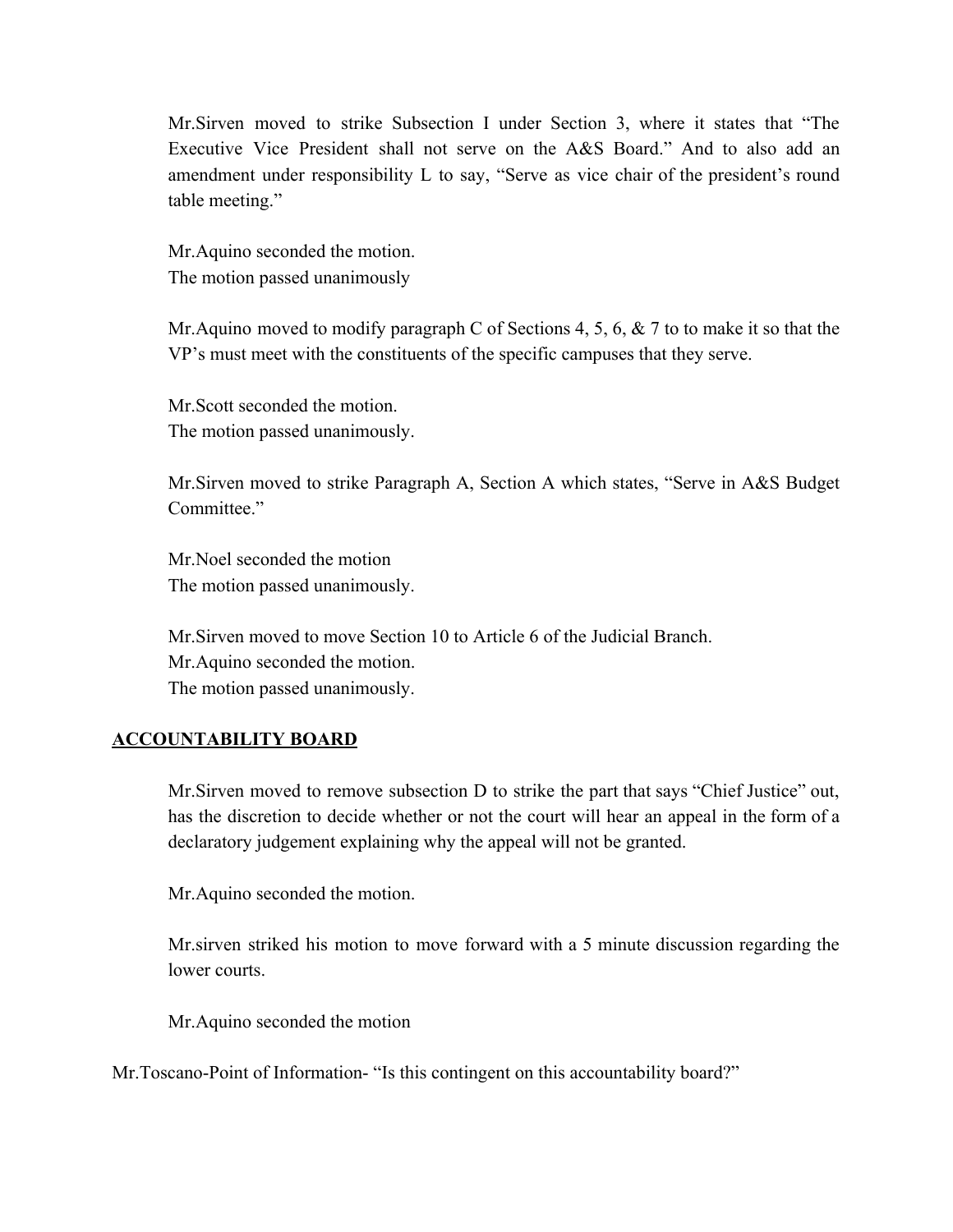Mr.Sirven moved to strike Subsection I under Section 3, where it states that "The Executive Vice President shall not serve on the A&S Board." And to also add an amendment under responsibility L to say, "Serve as vice chair of the president's round table meeting."

Mr.Aquino seconded the motion. The motion passed unanimously

Mr. Aquino moved to modify paragraph C of Sections 4, 5, 6, & 7 to to make it so that the VP's must meet with the constituents of the specific campuses that they serve.

Mr.Scott seconded the motion. The motion passed unanimously.

Mr.Sirven moved to strike Paragraph A, Section A which states, "Serve in A&S Budget Committee."

Mr.Noel seconded the motion The motion passed unanimously.

Mr.Sirven moved to move Section 10 to Article 6 of the Judicial Branch. Mr.Aquino seconded the motion. The motion passed unanimously.

#### **ACCOUNTABILITY BOARD**

Mr.Sirven moved to remove subsection D to strike the part that says "Chief Justice" out, has the discretion to decide whether or not the court will hear an appeal in the form of a declaratory judgement explaining why the appeal will not be granted.

Mr.Aquino seconded the motion.

Mr.sirven striked his motion to move forward with a 5 minute discussion regarding the lower courts.

Mr.Aquino seconded the motion

Mr.Toscano-Point of Information- "Is this contingent on this accountability board?"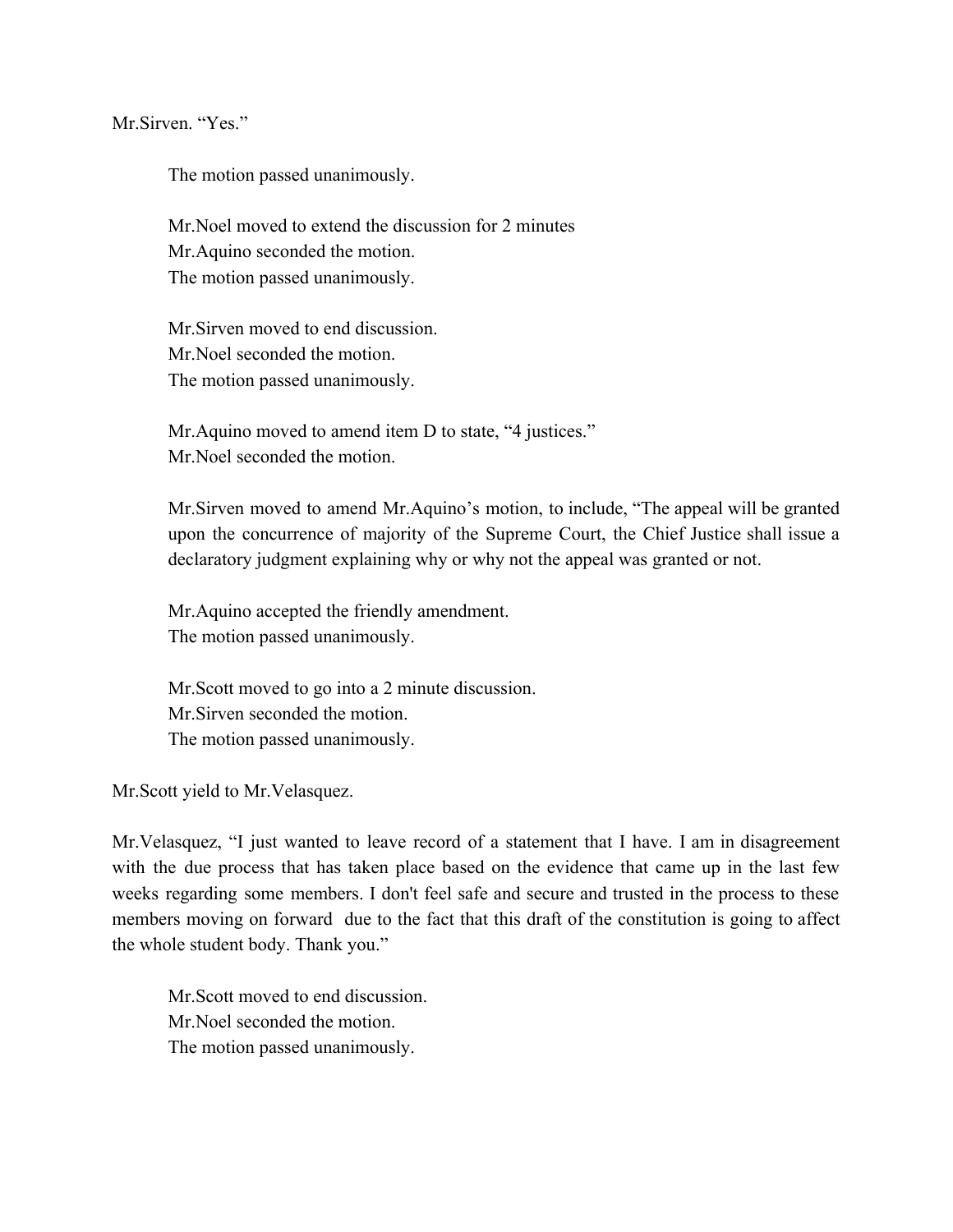Mr Sirven. "Yes."

The motion passed unanimously.

Mr.Noel moved to extend the discussion for 2 minutes Mr.Aquino seconded the motion. The motion passed unanimously.

Mr.Sirven moved to end discussion. Mr.Noel seconded the motion. The motion passed unanimously.

Mr.Aquino moved to amend item D to state, "4 justices." Mr.Noel seconded the motion.

Mr.Sirven moved to amend Mr.Aquino's motion, to include, "The appeal will be granted upon the concurrence of majority of the Supreme Court, the Chief Justice shall issue a declaratory judgment explaining why or why not the appeal was granted or not.

Mr.Aquino accepted the friendly amendment. The motion passed unanimously.

Mr.Scott moved to go into a 2 minute discussion. Mr.Sirven seconded the motion. The motion passed unanimously.

Mr.Scott yield to Mr.Velasquez.

Mr.Velasquez, "I just wanted to leave record of a statement that I have. I am in disagreement with the due process that has taken place based on the evidence that came up in the last few weeks regarding some members. I don't feel safe and secure and trusted in the process to these members moving on forward due to the fact that this draft of the constitution is going to affect the whole student body. Thank you."

Mr.Scott moved to end discussion. Mr.Noel seconded the motion. The motion passed unanimously.